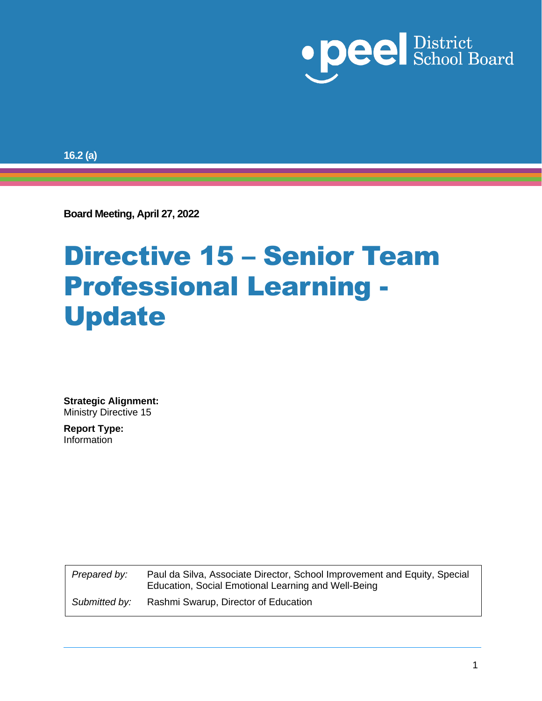

**16.2 (a)**

**Board Meeting, April 27, 2022**

## Directive 15 – Senior Team Professional Learning - Update

**Strategic Alignment:** Ministry Directive 15

**Report Type:**  Information

> *Prepared by:* Paul da Silva, Associate Director, School Improvement and Equity, Special Education, Social Emotional Learning and Well-Being *Submitted by:* Rashmi Swarup, Director of Education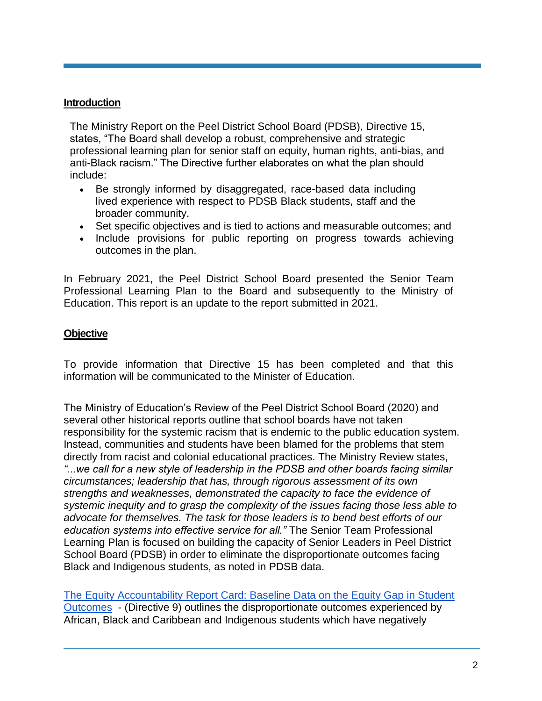#### **Introduction**

The Ministry Report on the Peel District School Board (PDSB), Directive 15, states, "The Board shall develop a robust, comprehensive and strategic professional learning plan for senior staff on equity, human rights, anti-bias, and anti-Black racism." The Directive further elaborates on what the plan should include:

- Be strongly informed by disaggregated, race-based data including lived experience with respect to PDSB Black students, staff and the broader community.
- Set specific objectives and is tied to actions and measurable outcomes; and
- Include provisions for public reporting on progress towards achieving outcomes in the plan.

In February 2021, the Peel District School Board presented the Senior Team Professional Learning Plan to the Board and subsequently to the Ministry of Education. This report is an update to the report submitted in 2021.

#### **Objective**

To provide information that Directive 15 has been completed and that this information will be communicated to the Minister of Education.

The Ministry of Education's Review of the Peel District School Board (2020) and several other historical reports outline that school boards have not taken responsibility for the systemic racism that is endemic to the public education system. Instead, communities and students have been blamed for the problems that stem directly from racist and colonial educational practices. The Ministry Review states, *"...we call for a new style of leadership in the PDSB and other boards facing similar circumstances; leadership that has, through rigorous assessment of its own strengths and weaknesses, demonstrated the capacity to face the evidence of systemic inequity and to grasp the complexity of the issues facing those less able to advocate for themselves. The task for those leaders is to bend best efforts of our education systems into effective service for all."* The Senior Team Professional Learning Plan is focused on building the capacity of Senior Leaders in Peel District School Board (PDSB) in order to eliminate the disproportionate outcomes facing Black and Indigenous students, as noted in PDSB data.

[The Equity Accountability Report Card: Baseline Data on the Equity Gap in Student](https://www.peelschools.org/trustees/meetings/agendas-minutes/Documents/14.2%20a%20Directive%209%20Annual%20Equity%20Accountability%20Report%20Card%20-%20Baseline%20Data%20on%20the%20Equity%20Gap%20in%20Student%20Outcome.pdf)  [Outcomes](https://www.peelschools.org/trustees/meetings/agendas-minutes/Documents/14.2%20a%20Directive%209%20Annual%20Equity%20Accountability%20Report%20Card%20-%20Baseline%20Data%20on%20the%20Equity%20Gap%20in%20Student%20Outcome.pdf) - (Directive 9) outlines the disproportionate outcomes experienced by African, Black and Caribbean and Indigenous students which have negatively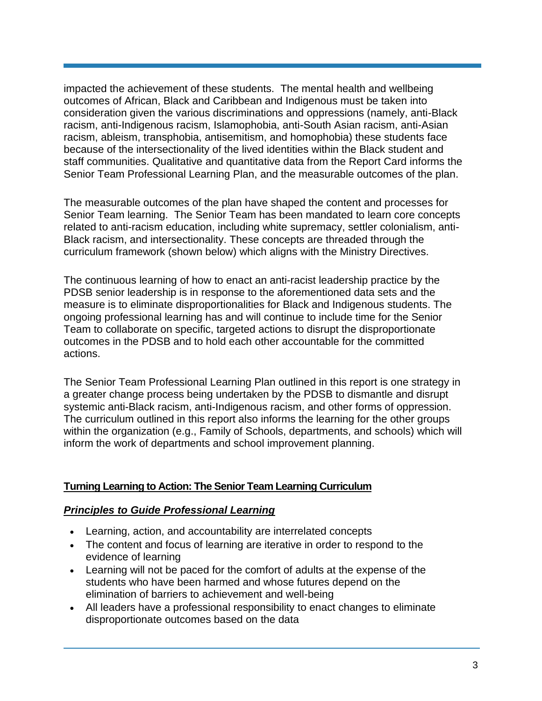impacted the achievement of these students. The mental health and wellbeing outcomes of African, Black and Caribbean and Indigenous must be taken into consideration given the various discriminations and oppressions (namely, anti-Black racism, anti-Indigenous racism, Islamophobia, anti-South Asian racism, anti-Asian racism, ableism, transphobia, antisemitism, and homophobia) these students face because of the intersectionality of the lived identities within the Black student and staff communities. Qualitative and quantitative data from the Report Card informs the Senior Team Professional Learning Plan, and the measurable outcomes of the plan.

The measurable outcomes of the plan have shaped the content and processes for Senior Team learning. The Senior Team has been mandated to learn core concepts related to anti-racism education, including white supremacy, settler colonialism, anti-Black racism, and intersectionality. These concepts are threaded through the curriculum framework (shown below) which aligns with the Ministry Directives.

The continuous learning of how to enact an anti-racist leadership practice by the PDSB senior leadership is in response to the aforementioned data sets and the measure is to eliminate disproportionalities for Black and Indigenous students. The ongoing professional learning has and will continue to include time for the Senior Team to collaborate on specific, targeted actions to disrupt the disproportionate outcomes in the PDSB and to hold each other accountable for the committed actions.

The Senior Team Professional Learning Plan outlined in this report is one strategy in a greater change process being undertaken by the PDSB to dismantle and disrupt systemic anti-Black racism, anti-Indigenous racism, and other forms of oppression. The curriculum outlined in this report also informs the learning for the other groups within the organization (e.g., Family of Schools, departments, and schools) which will inform the work of departments and school improvement planning.

#### **Turning Learning to Action: The Senior Team Learning Curriculum**

#### *Principles to Guide Professional Learning*

- Learning, action, and accountability are interrelated concepts
- The content and focus of learning are iterative in order to respond to the evidence of learning
- Learning will not be paced for the comfort of adults at the expense of the students who have been harmed and whose futures depend on the elimination of barriers to achievement and well-being
- All leaders have a professional responsibility to enact changes to eliminate disproportionate outcomes based on the data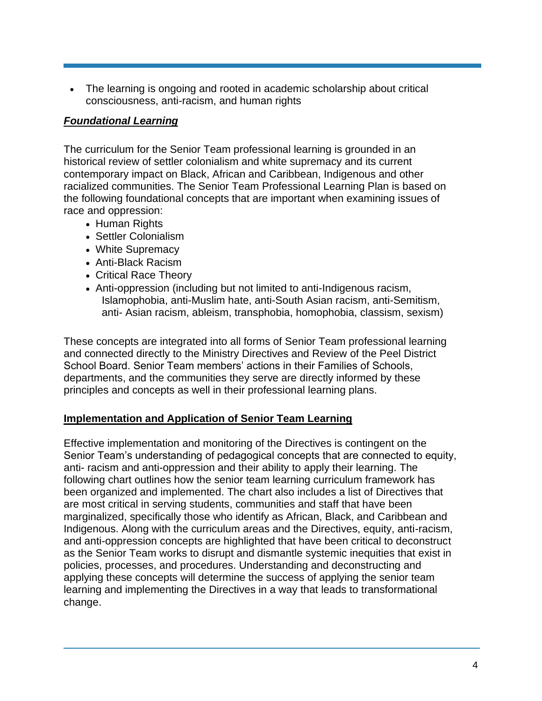• The learning is ongoing and rooted in academic scholarship about critical consciousness, anti-racism, and human rights

#### *Foundational Learning*

The curriculum for the Senior Team professional learning is grounded in an historical review of settler colonialism and white supremacy and its current contemporary impact on Black, African and Caribbean, Indigenous and other racialized communities. The Senior Team Professional Learning Plan is based on the following foundational concepts that are important when examining issues of race and oppression:

- Human Rights
- Settler Colonialism
- White Supremacy
- Anti-Black Racism
- Critical Race Theory
- Anti-oppression (including but not limited to anti-Indigenous racism, Islamophobia, anti-Muslim hate, anti-South Asian racism, anti-Semitism, anti- Asian racism, ableism, transphobia, homophobia, classism, sexism)

These concepts are integrated into all forms of Senior Team professional learning and connected directly to the Ministry Directives and Review of the Peel District School Board. Senior Team members' actions in their Families of Schools, departments, and the communities they serve are directly informed by these principles and concepts as well in their professional learning plans.

#### **Implementation and Application of Senior Team Learning**

Effective implementation and monitoring of the Directives is contingent on the Senior Team's understanding of pedagogical concepts that are connected to equity, anti- racism and anti-oppression and their ability to apply their learning. The following chart outlines how the senior team learning curriculum framework has been organized and implemented. The chart also includes a list of Directives that are most critical in serving students, communities and staff that have been marginalized, specifically those who identify as African, Black, and Caribbean and Indigenous. Along with the curriculum areas and the Directives, equity, anti-racism, and anti-oppression concepts are highlighted that have been critical to deconstruct as the Senior Team works to disrupt and dismantle systemic inequities that exist in policies, processes, and procedures. Understanding and deconstructing and applying these concepts will determine the success of applying the senior team learning and implementing the Directives in a way that leads to transformational change.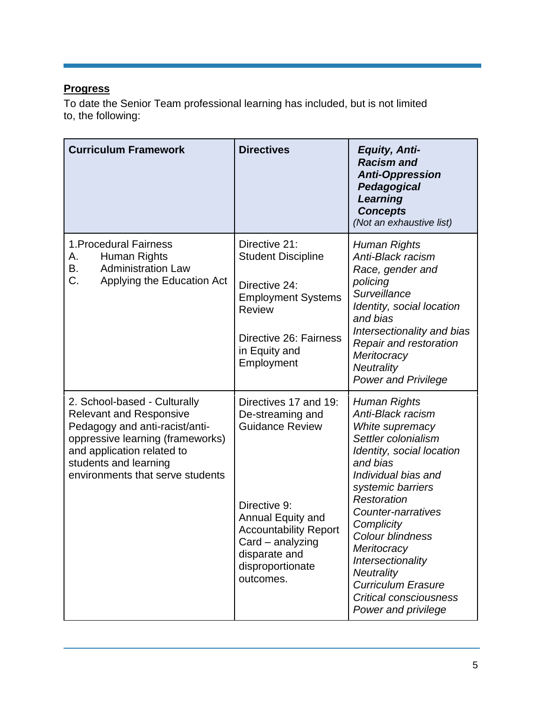#### **Progress**

To date the Senior Team professional learning has included, but is not limited to, the following:

| <b>Curriculum Framework</b>                                                                                                                                                                                                     | <b>Directives</b>                                                                                                                                                                                              | <b>Equity, Anti-</b><br><b>Racism</b> and<br><b>Anti-Oppression</b><br>Pedagogical<br>Learning<br><b>Concepts</b><br>(Not an exhaustive list)                                                                                                                                                                                                                                         |
|---------------------------------------------------------------------------------------------------------------------------------------------------------------------------------------------------------------------------------|----------------------------------------------------------------------------------------------------------------------------------------------------------------------------------------------------------------|---------------------------------------------------------------------------------------------------------------------------------------------------------------------------------------------------------------------------------------------------------------------------------------------------------------------------------------------------------------------------------------|
| 1. Procedural Fairness<br>Human Rights<br>А.<br><b>Administration Law</b><br>В.<br>C.<br>Applying the Education Act                                                                                                             | Directive 21:<br><b>Student Discipline</b><br>Directive 24:<br><b>Employment Systems</b><br><b>Review</b><br>Directive 26: Fairness<br>in Equity and<br>Employment                                             | Human Rights<br>Anti-Black racism<br>Race, gender and<br>policing<br>Surveillance<br>Identity, social location<br>and bias<br>Intersectionality and bias<br>Repair and restoration<br>Meritocracy<br>Neutrality<br><b>Power and Privilege</b>                                                                                                                                         |
| 2. School-based - Culturally<br><b>Relevant and Responsive</b><br>Pedagogy and anti-racist/anti-<br>oppressive learning (frameworks)<br>and application related to<br>students and learning<br>environments that serve students | Directives 17 and 19:<br>De-streaming and<br><b>Guidance Review</b><br>Directive 9:<br>Annual Equity and<br><b>Accountability Report</b><br>Card – analyzing<br>disparate and<br>disproportionate<br>outcomes. | Human Rights<br>Anti-Black racism<br>White supremacy<br>Settler colonialism<br>Identity, social location<br>and bias<br>Individual bias and<br>systemic barriers<br>Restoration<br>Counter-narratives<br>Complicity<br>Colour blindness<br>Meritocracy<br>Intersectionality<br><b>Neutrality</b><br><b>Curriculum Erasure</b><br><b>Critical consciousness</b><br>Power and privilege |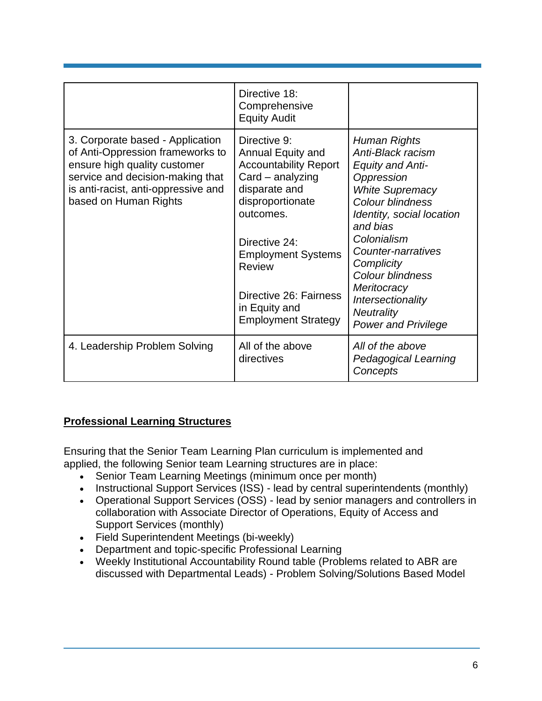|                                                                                                                                                                                                          | Directive 18:<br>Comprehensive<br><b>Equity Audit</b>                                                                                                                                                                                                                      |                                                                                                                                                                                                                                                                                                                                 |
|----------------------------------------------------------------------------------------------------------------------------------------------------------------------------------------------------------|----------------------------------------------------------------------------------------------------------------------------------------------------------------------------------------------------------------------------------------------------------------------------|---------------------------------------------------------------------------------------------------------------------------------------------------------------------------------------------------------------------------------------------------------------------------------------------------------------------------------|
| 3. Corporate based - Application<br>of Anti-Oppression frameworks to<br>ensure high quality customer<br>service and decision-making that<br>is anti-racist, anti-oppressive and<br>based on Human Rights | Directive 9:<br>Annual Equity and<br><b>Accountability Report</b><br>$Card - analyzing$<br>disparate and<br>disproportionate<br>outcomes.<br>Directive 24:<br><b>Employment Systems</b><br>Review<br>Directive 26: Fairness<br>in Equity and<br><b>Employment Strategy</b> | Human Rights<br>Anti-Black racism<br><b>Equity and Anti-</b><br>Oppression<br><b>White Supremacy</b><br>Colour blindness<br>Identity, social location<br>and bias<br>Colonialism<br>Counter-narratives<br>Complicity<br>Colour blindness<br>Meritocracy<br>Intersectionality<br><b>Neutrality</b><br><b>Power and Privilege</b> |
| 4. Leadership Problem Solving                                                                                                                                                                            | All of the above<br>directives                                                                                                                                                                                                                                             | All of the above<br>Pedagogical Learning<br>Concepts                                                                                                                                                                                                                                                                            |

#### **Professional Learning Structures**

Ensuring that the Senior Team Learning Plan curriculum is implemented and applied, the following Senior team Learning structures are in place:

- Senior Team Learning Meetings (minimum once per month)
- Instructional Support Services (ISS) lead by central superintendents (monthly)
- Operational Support Services (OSS) lead by senior managers and controllers in collaboration with Associate Director of Operations, Equity of Access and Support Services (monthly)
- Field Superintendent Meetings (bi-weekly)
- Department and topic-specific Professional Learning
- Weekly Institutional Accountability Round table (Problems related to ABR are discussed with Departmental Leads) - Problem Solving/Solutions Based Model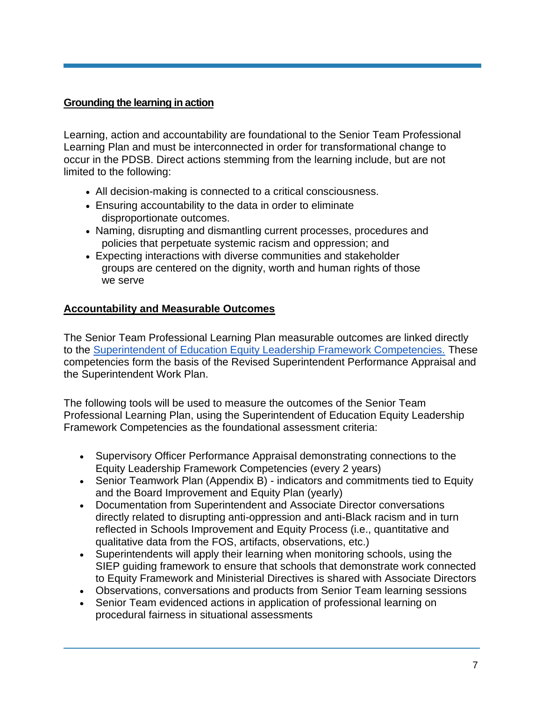#### **Grounding the learning in action**

Learning, action and accountability are foundational to the Senior Team Professional Learning Plan and must be interconnected in order for transformational change to occur in the PDSB. Direct actions stemming from the learning include, but are not limited to the following:

- All decision-making is connected to a critical consciousness.
- Ensuring accountability to the data in order to eliminate disproportionate outcomes.
- Naming, disrupting and dismantling current processes, procedures and policies that perpetuate systemic racism and oppression; and
- Expecting interactions with diverse communities and stakeholder groups are centered on the dignity, worth and human rights of those we serve

#### **Accountability and Measurable Outcomes**

The Senior Team Professional Learning Plan measurable outcomes are linked directly to the [Superintendent of Education Equity Leadership Framework Competencies.](https://pdsb1.sharepoint.com/sites/System/SiteAssets/SitePages/For-Action-(3)/Final-PDSB-SOE---Equity-Leadership-Competencies-Framework--1-.pdf#search=%28superintendent%20equity%20leadership%20%2A%29) These competencies form the basis of the Revised Superintendent Performance Appraisal and the Superintendent Work Plan.

The following tools will be used to measure the outcomes of the Senior Team Professional Learning Plan, using the Superintendent of Education Equity Leadership Framework Competencies as the foundational assessment criteria:

- Supervisory Officer Performance Appraisal demonstrating connections to the Equity Leadership Framework Competencies (every 2 years)
- Senior Teamwork Plan (Appendix B) indicators and commitments tied to Equity and the Board Improvement and Equity Plan (yearly)
- Documentation from Superintendent and Associate Director conversations directly related to disrupting anti-oppression and anti-Black racism and in turn reflected in Schools Improvement and Equity Process (i.e., quantitative and qualitative data from the FOS, artifacts, observations, etc.)
- Superintendents will apply their learning when monitoring schools, using the SIEP guiding framework to ensure that schools that demonstrate work connected to Equity Framework and Ministerial Directives is shared with Associate Directors
- Observations, conversations and products from Senior Team learning sessions
- Senior Team evidenced actions in application of professional learning on procedural fairness in situational assessments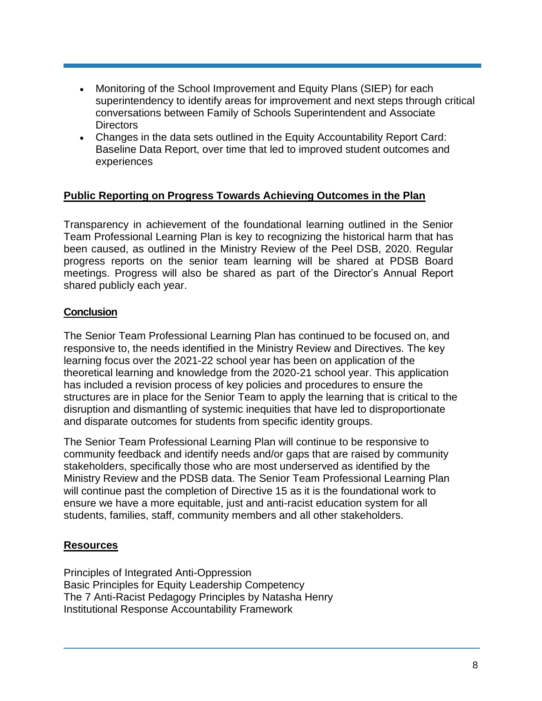- Monitoring of the School Improvement and Equity Plans (SIEP) for each superintendency to identify areas for improvement and next steps through critical conversations between Family of Schools Superintendent and Associate **Directors**
- Changes in the data sets outlined in the Equity Accountability Report Card: Baseline Data Report, over time that led to improved student outcomes and experiences

#### **Public Reporting on Progress Towards Achieving Outcomes in the Plan**

Transparency in achievement of the foundational learning outlined in the Senior Team Professional Learning Plan is key to recognizing the historical harm that has been caused, as outlined in the Ministry Review of the Peel DSB, 2020. Regular progress reports on the senior team learning will be shared at PDSB Board meetings. Progress will also be shared as part of the Director's Annual Report shared publicly each year.

#### **Conclusion**

The Senior Team Professional Learning Plan has continued to be focused on, and responsive to, the needs identified in the Ministry Review and Directives. The key learning focus over the 2021-22 school year has been on application of the theoretical learning and knowledge from the 2020-21 school year. This application has included a revision process of key policies and procedures to ensure the structures are in place for the Senior Team to apply the learning that is critical to the disruption and dismantling of systemic inequities that have led to disproportionate and disparate outcomes for students from specific identity groups.

The Senior Team Professional Learning Plan will continue to be responsive to community feedback and identify needs and/or gaps that are raised by community stakeholders, specifically those who are most underserved as identified by the Ministry Review and the PDSB data. The Senior Team Professional Learning Plan will continue past the completion of Directive 15 as it is the foundational work to ensure we have a more equitable, just and anti-racist education system for all students, families, staff, community members and all other stakeholders.

#### **Resources**

Principles of Integrated Anti-Oppression Basic Principles for Equity Leadership Competency The 7 Anti-Racist Pedagogy Principles by Natasha Henry Institutional Response Accountability Framework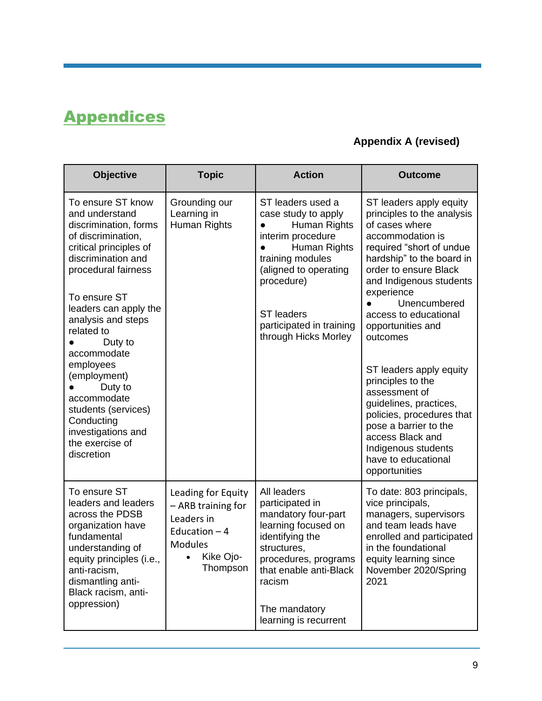### **Appendices**

#### **Appendix A (revised)**

| <b>Objective</b>                                                                                                                                                                                                                                                                                                                                                                                                    | <b>Topic</b>                                                                                                        | <b>Action</b>                                                                                                                                                                                                                     | <b>Outcome</b>                                                                                                                                                                                                                                                                                                                                                                                                                                                                                                                       |
|---------------------------------------------------------------------------------------------------------------------------------------------------------------------------------------------------------------------------------------------------------------------------------------------------------------------------------------------------------------------------------------------------------------------|---------------------------------------------------------------------------------------------------------------------|-----------------------------------------------------------------------------------------------------------------------------------------------------------------------------------------------------------------------------------|--------------------------------------------------------------------------------------------------------------------------------------------------------------------------------------------------------------------------------------------------------------------------------------------------------------------------------------------------------------------------------------------------------------------------------------------------------------------------------------------------------------------------------------|
| To ensure ST know<br>and understand<br>discrimination, forms<br>of discrimination,<br>critical principles of<br>discrimination and<br>procedural fairness<br>To ensure ST<br>leaders can apply the<br>analysis and steps<br>related to<br>Duty to<br>accommodate<br>employees<br>(employment)<br>Duty to<br>accommodate<br>students (services)<br>Conducting<br>investigations and<br>the exercise of<br>discretion | Grounding our<br>Learning in<br>Human Rights                                                                        | ST leaders used a<br>case study to apply<br>Human Rights<br>interim procedure<br>Human Rights<br>training modules<br>(aligned to operating<br>procedure)<br><b>ST</b> leaders<br>participated in training<br>through Hicks Morley | ST leaders apply equity<br>principles to the analysis<br>of cases where<br>accommodation is<br>required "short of undue<br>hardship" to the board in<br>order to ensure Black<br>and Indigenous students<br>experience<br>Unencumbered<br>access to educational<br>opportunities and<br>outcomes<br>ST leaders apply equity<br>principles to the<br>assessment of<br>guidelines, practices,<br>policies, procedures that<br>pose a barrier to the<br>access Black and<br>Indigenous students<br>have to educational<br>opportunities |
| To ensure ST<br>leaders and leaders<br>across the PDSB<br>organization have<br>fundamental<br>understanding of<br>equity principles (i.e.,<br>anti-racism,<br>dismantling anti-<br>Black racism, anti-<br>oppression)                                                                                                                                                                                               | Leading for Equity<br>- ARB training for<br>Leaders in<br>Education $-4$<br><b>Modules</b><br>Kike Ojo-<br>Thompson | All leaders<br>participated in<br>mandatory four-part<br>learning focused on<br>identifying the<br>structures,<br>procedures, programs<br>that enable anti-Black<br>racism<br>The mandatory<br>learning is recurrent              | To date: 803 principals,<br>vice principals,<br>managers, supervisors<br>and team leads have<br>enrolled and participated<br>in the foundational<br>equity learning since<br>November 2020/Spring<br>2021                                                                                                                                                                                                                                                                                                                            |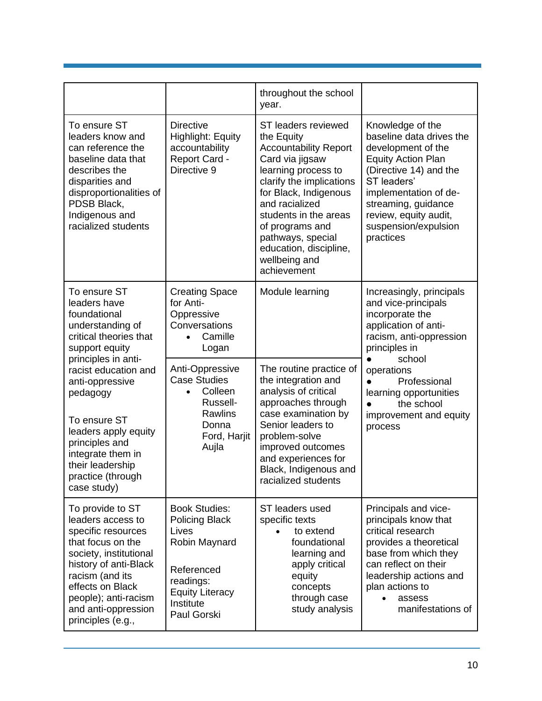|                                                                                                                                                                                                                                                |                                                                                                                                                          | throughout the school<br>year.                                                                                                                                                                                                                                                                                |                                                                                                                                                                                                                                                        |  |
|------------------------------------------------------------------------------------------------------------------------------------------------------------------------------------------------------------------------------------------------|----------------------------------------------------------------------------------------------------------------------------------------------------------|---------------------------------------------------------------------------------------------------------------------------------------------------------------------------------------------------------------------------------------------------------------------------------------------------------------|--------------------------------------------------------------------------------------------------------------------------------------------------------------------------------------------------------------------------------------------------------|--|
| To ensure ST<br>leaders know and<br>can reference the<br>baseline data that<br>describes the<br>disparities and<br>disproportionalities of<br>PDSB Black,<br>Indigenous and<br>racialized students                                             | <b>Directive</b><br><b>Highlight: Equity</b><br>accountability<br>Report Card -<br>Directive 9                                                           | ST leaders reviewed<br>the Equity<br><b>Accountability Report</b><br>Card via jigsaw<br>learning process to<br>clarify the implications<br>for Black, Indigenous<br>and racialized<br>students in the areas<br>of programs and<br>pathways, special<br>education, discipline,<br>wellbeing and<br>achievement | Knowledge of the<br>baseline data drives the<br>development of the<br><b>Equity Action Plan</b><br>(Directive 14) and the<br>ST leaders'<br>implementation of de-<br>streaming, guidance<br>review, equity audit,<br>suspension/expulsion<br>practices |  |
| To ensure ST<br>leaders have<br>foundational<br>understanding of<br>critical theories that<br>support equity<br>principles in anti-<br>racist education and<br>anti-oppressive<br>pedagogy                                                     | <b>Creating Space</b><br>for Anti-<br>Oppressive<br>Conversations<br>Camille<br>Logan                                                                    | Module learning                                                                                                                                                                                                                                                                                               | Increasingly, principals<br>and vice-principals<br>incorporate the<br>application of anti-<br>racism, anti-oppression<br>principles in                                                                                                                 |  |
|                                                                                                                                                                                                                                                | Anti-Oppressive<br><b>Case Studies</b><br>Colleen<br>$\bullet$<br>Russell-                                                                               | The routine practice of<br>the integration and<br>analysis of critical<br>approaches through                                                                                                                                                                                                                  | school<br>operations<br>Professional<br>learning opportunities<br>the school<br>$\bullet$                                                                                                                                                              |  |
| To ensure ST<br>leaders apply equity<br>principles and<br>integrate them in<br>their leadership<br>practice (through<br>case study)                                                                                                            | <b>Rawlins</b><br>Donna<br>Ford, Harjit<br>Aujla                                                                                                         | case examination by<br>Senior leaders to<br>problem-solve<br>improved outcomes<br>and experiences for<br>Black, Indigenous and<br>racialized students                                                                                                                                                         | improvement and equity<br>process                                                                                                                                                                                                                      |  |
| To provide to ST<br>leaders access to<br>specific resources<br>that focus on the<br>society, institutional<br>history of anti-Black<br>racism (and its<br>effects on Black<br>people); anti-racism<br>and anti-oppression<br>principles (e.g., | <b>Book Studies:</b><br><b>Policing Black</b><br>Lives<br>Robin Maynard<br>Referenced<br>readings:<br><b>Equity Literacy</b><br>Institute<br>Paul Gorski | ST leaders used<br>specific texts<br>to extend<br>foundational<br>learning and<br>apply critical<br>equity<br>concepts<br>through case<br>study analysis                                                                                                                                                      | Principals and vice-<br>principals know that<br>critical research<br>provides a theoretical<br>base from which they<br>can reflect on their<br>leadership actions and<br>plan actions to<br>assess<br>manifestations of                                |  |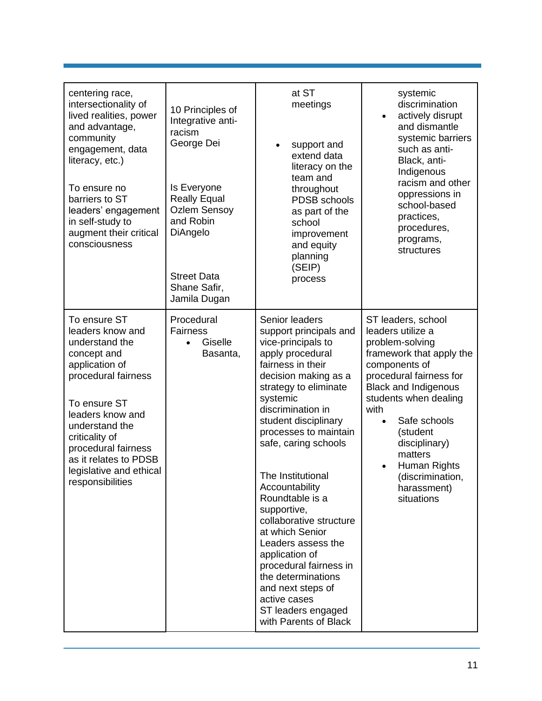| centering race,<br>intersectionality of<br>lived realities, power<br>and advantage,<br>community<br>engagement, data<br>literacy, etc.)<br>To ensure no<br>barriers to ST<br>leaders' engagement<br>in self-study to<br>augment their critical<br>consciousness                   | 10 Principles of<br>Integrative anti-<br>racism<br>George Dei<br>Is Everyone<br><b>Really Equal</b><br><b>Ozlem Sensoy</b><br>and Robin<br>DiAngelo<br><b>Street Data</b><br>Shane Safir,<br>Jamila Dugan | at ST<br>meetings<br>support and<br>extend data<br>literacy on the<br>team and<br>throughout<br>PDSB schools<br>as part of the<br>school<br>improvement<br>and equity<br>planning<br>(SEIP)<br>process                                                                                                                                                                                                                                                                                                                                                                | systemic<br>discrimination<br>actively disrupt<br>$\bullet$<br>and dismantle<br>systemic barriers<br>such as anti-<br>Black, anti-<br>Indigenous<br>racism and other<br>oppressions in<br>school-based<br>practices,<br>procedures,<br>programs,<br>structures                                                                                        |
|-----------------------------------------------------------------------------------------------------------------------------------------------------------------------------------------------------------------------------------------------------------------------------------|-----------------------------------------------------------------------------------------------------------------------------------------------------------------------------------------------------------|-----------------------------------------------------------------------------------------------------------------------------------------------------------------------------------------------------------------------------------------------------------------------------------------------------------------------------------------------------------------------------------------------------------------------------------------------------------------------------------------------------------------------------------------------------------------------|-------------------------------------------------------------------------------------------------------------------------------------------------------------------------------------------------------------------------------------------------------------------------------------------------------------------------------------------------------|
| To ensure ST<br>leaders know and<br>understand the<br>concept and<br>application of<br>procedural fairness<br>To ensure ST<br>leaders know and<br>understand the<br>criticality of<br>procedural fairness<br>as it relates to PDSB<br>legislative and ethical<br>responsibilities | Procedural<br><b>Fairness</b><br>Giselle<br>$\bullet$<br>Basanta,                                                                                                                                         | Senior leaders<br>support principals and<br>vice-principals to<br>apply procedural<br>fairness in their<br>decision making as a<br>strategy to eliminate<br>systemic<br>discrimination in<br>student disciplinary<br>processes to maintain<br>safe, caring schools<br>The Institutional<br>Accountability<br>Roundtable is a<br>supportive,<br>collaborative structure<br>at which Senior<br>Leaders assess the<br>application of<br>procedural fairness in<br>the determinations<br>and next steps of<br>active cases<br>ST leaders engaged<br>with Parents of Black | ST leaders, school<br>leaders utilize a<br>problem-solving<br>framework that apply the<br>components of<br>procedural fairness for<br><b>Black and Indigenous</b><br>students when dealing<br>with<br>Safe schools<br>$\bullet$<br>(student<br>disciplinary)<br>matters<br>Human Rights<br>$\bullet$<br>(discrimination,<br>harassment)<br>situations |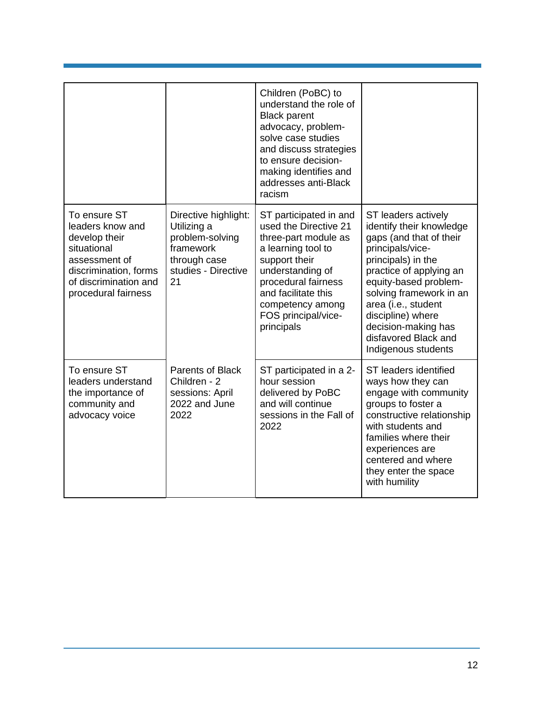|                                                                                                                                                            |                                                                                                                  | Children (PoBC) to<br>understand the role of<br><b>Black parent</b><br>advocacy, problem-<br>solve case studies<br>and discuss strategies<br>to ensure decision-<br>making identifies and<br>addresses anti-Black<br>racism               |                                                                                                                                                                                                                                                                                                                       |  |
|------------------------------------------------------------------------------------------------------------------------------------------------------------|------------------------------------------------------------------------------------------------------------------|-------------------------------------------------------------------------------------------------------------------------------------------------------------------------------------------------------------------------------------------|-----------------------------------------------------------------------------------------------------------------------------------------------------------------------------------------------------------------------------------------------------------------------------------------------------------------------|--|
| To ensure ST<br>leaders know and<br>develop their<br>situational<br>assessment of<br>discrimination, forms<br>of discrimination and<br>procedural fairness | Directive highlight:<br>Utilizing a<br>problem-solving<br>framework<br>through case<br>studies - Directive<br>21 | ST participated in and<br>used the Directive 21<br>three-part module as<br>a learning tool to<br>support their<br>understanding of<br>procedural fairness<br>and facilitate this<br>competency among<br>FOS principal/vice-<br>principals | ST leaders actively<br>identify their knowledge<br>gaps (and that of their<br>principals/vice-<br>principals) in the<br>practice of applying an<br>equity-based problem-<br>solving framework in an<br>area (i.e., student<br>discipline) where<br>decision-making has<br>disfavored Black and<br>Indigenous students |  |
| To ensure ST<br>leaders understand<br>the importance of<br>community and<br>advocacy voice                                                                 | <b>Parents of Black</b><br>Children - 2<br>sessions: April<br>2022 and June<br>2022                              | ST participated in a 2-<br>hour session<br>delivered by PoBC<br>and will continue<br>sessions in the Fall of<br>2022                                                                                                                      | ST leaders identified<br>ways how they can<br>engage with community<br>groups to foster a<br>constructive relationship<br>with students and<br>families where their<br>experiences are<br>centered and where<br>they enter the space<br>with humility                                                                 |  |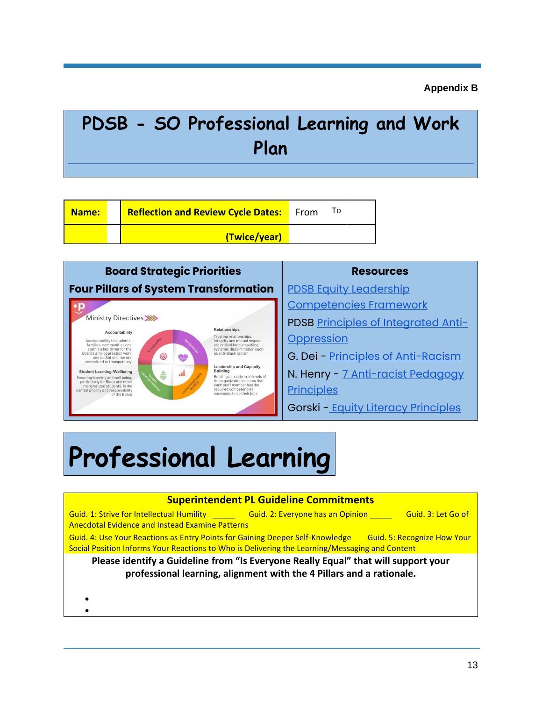**Appendix B**

## **PDSB - SO Professional Learning and Work Plan**

| <b>Name:</b> | <b>Reflection and Review Cycle Dates:</b> From |  |
|--------------|------------------------------------------------|--|
|              | (Twice/year)                                   |  |



# **Professional Learning**

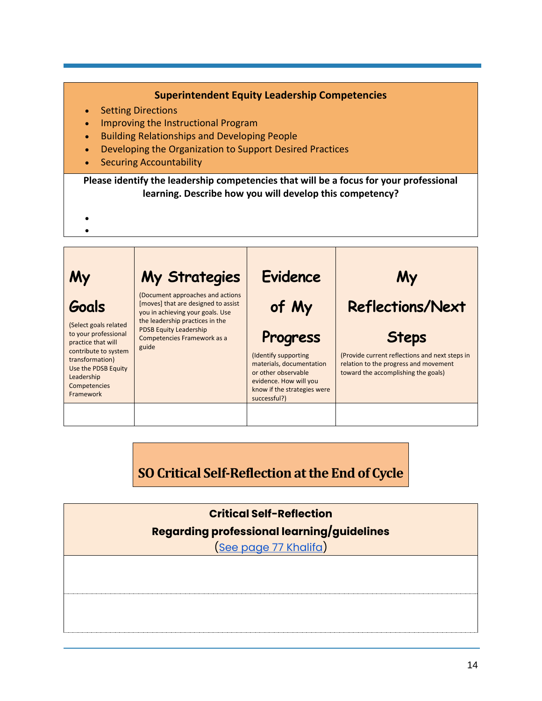#### **Superintendent Equity Leadership Competencies**

- **Setting Directions**
- Improving the Instructional Program
- Building Relationships and Developing People
- Developing the Organization to Support Desired Practices
- Securing Accountability

**Please identify the leadership competencies that will be a focus for your professional learning. Describe how you will develop this competency?**

- •
- **My Goals** (Select goals related to your professional practice that will contribute to system transformation) Use the PDSB Equity Leadership Competencies Framework **My Strategies** (Document approaches and actions [moves] that are designed to assist you in achieving your goals. Use the leadership practices in the PDSB Equity Leadership Competencies Framework as a guide **Evidence of My Progress** (Identify supporting materials, documentation or other observable evidence. How will you know if the strategies were successful?) **My Reflections/Next Steps** (Provide current reflections and next steps in relation to the progress and movement toward the accomplishing the goals)

**SO Critical Self-Reflection at the End of Cycle**

**Critical Self-Reflection Regarding professional learning/guidelines** [\(See page 77 Khalifa\)](https://docs.google.com/document/d/1_ZUJLJdhd0jD_RlG2GxvurQ24pcLpRKe68I8escu9QI/edit?usp=sharing)